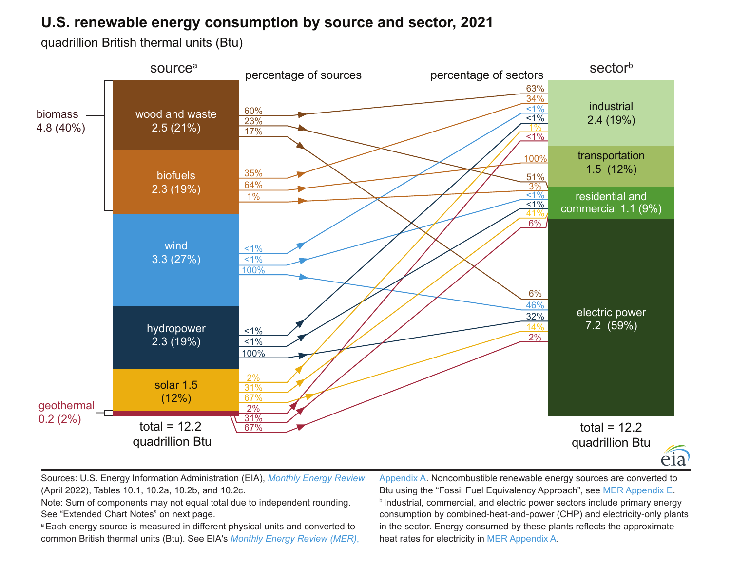## **U.S. renewable energy consumption by source and sector, 2021**

quadrillion British thermal units (Btu)



Sources: U.S. Energy Information Administration (EIA), *[Monthly Energy Review](https://www.eia.gov/totalenergy/data/monthly/)* (April 2022), Tables 10.1, 10.2a, 10.2b, and 10.2c.

Note: Sum of components may not equal total due to independent rounding. See "Extended Chart Notes" on next page.

<sup>a</sup> Each energy source is measured in different physical units and converted to common British thermal units (Btu). See EIA's *[Monthly Energy Review \(MER\)](https://www.eia.gov/totalenergy/data/monthly/)*,

[Appendix A.](https://www.eia.gov/totalenergy/data/monthly/pdf/mer_a.pdf) Noncombustible renewable energy sources are converted to Btu using the "Fossil Fuel Equivalency Approach", see [MER Appendix E.](https://www.eia.gov/totalenergy/data/monthly/pdf/mer_e.pdf) **b** Industrial, commercial, and electric power sectors include primary energy consumption by combined-heat-and-power (CHP) and electricity-only plants in the sector. Energy consumed by these plants reflects the approximate heat rates for electricity in [MER Appendix A.](https://www.eia.gov/totalenergy/data/monthly/pdf/mer_a.pdf)